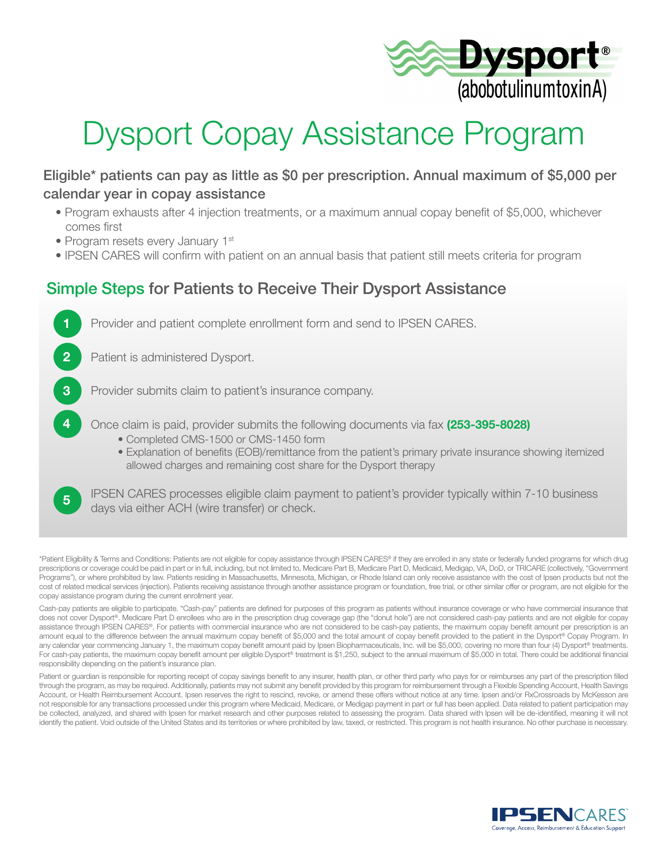

# Dysport Copay Assistance Program

### Eligible\* patients can pay as little as \$0 per prescription. Annual maximum of \$5,000 per calendar year in copay assistance

- Program exhausts after 4 injection treatments, or a maximum annual copay benefit of \$5,000, whichever comes first
- Program resets every January 1<sup>st</sup>

5

• IPSEN CARES will confirm with patient on an annual basis that patient still meets criteria for program

### Simple Steps for Patients to Receive Their Dysport Assistance



IPSEN CARES processes eligible claim payment to patient's provider typically within 7-10 business days via either ACH (wire transfer) or check.

\*Patient Eligibility & Terms and Conditions: Patients are not eligible for copay assistance through IPSEN CARES® if they are enrolled in any state or federally funded programs for which drug prescriptions or coverage could be paid in part or in full, including, but not limited to, Medicare Part B, Medicare Part D, Medicaid, Medigap, VA, DoD, or TRICARE (collectively, "Government Programs"), or where prohibited by law. Patients residing in Massachusetts, Minnesota, Michigan, or Rhode Island can only receive assistance with the cost of Ipsen products but not the cost of related medical services (injection). Patients receiving assistance through another assistance program or foundation, free trial, or other similar offer or program, are not eligible for the copay assistance program during the current enrollment year.

Cash-pay patients are eligible to participate. "Cash-pay" patients are defined for purposes of this program as patients without insurance coverage or who have commercial insurance that does not cover Dysport®. Medicare Part D enrollees who are in the prescription drug coverage gap (the "donut hole") are not considered cash-pay patients and are not eligible for copay assistance through IPSEN CARES®. For patients with commercial insurance who are not considered to be cash-pay patients, the maximum copay benefit amount per prescription is an amount equal to the difference between the annual maximum copay benefit of \$5,000 and the total amount of copay benefit provided to the patient in the Dysport® Copay Program. In any calendar year commencing January 1, the maximum copay benefit amount paid by Ipsen Biopharmaceuticals, Inc. will be \$5,000, covering no more than four (4) Dysport® treatments. For cash-pay patients, the maximum copay benefit amount per eligible Dysport® treatment is \$1,250, subject to the annual maximum of \$5,000 in total. There could be additional financial responsibility depending on the patient's insurance plan.

Patient or guardian is responsible for reporting receipt of copay savings benefit to any insurer, health plan, or other third party who pays for or reimburses any part of the prescription filled through the program, as may be required. Additionally, patients may not submit any benefit provided by this program for reimbursement through a Flexible Spending Account, Health Savings Account, or Health Reimbursement Account. Ipsen reserves the right to rescind, revoke, or amend these offers without notice at any time. Ipsen and/or RxCrossroads by McKesson are not responsible for any transactions processed under this program where Medicaid, Medicare, or Medigap payment in part or full has been applied. Data related to patient participation may be collected, analyzed, and shared with Ipsen for market research and other purposes related to assessing the program. Data shared with Ipsen will be de-identified, meaning it will not identify the patient. Void outside of the United States and its territories or where prohibited by law, taxed, or restricted. This program is not health insurance. No other purchase is necessary.